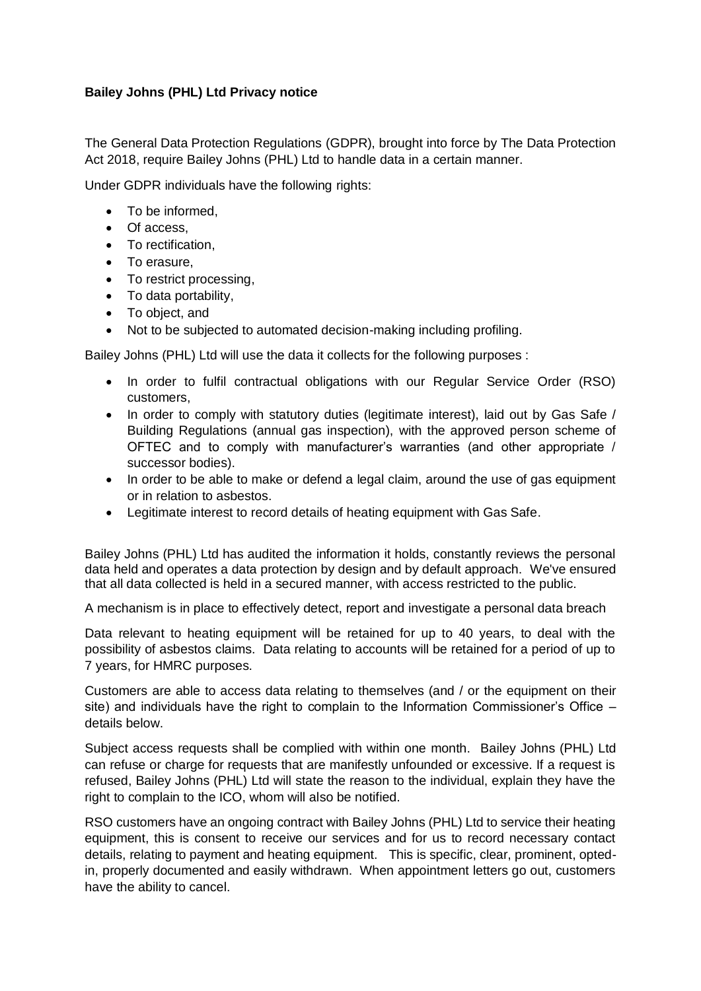## **Bailey Johns (PHL) Ltd Privacy notice**

The General Data Protection Regulations (GDPR), brought into force by The Data Protection Act 2018, require Bailey Johns (PHL) Ltd to handle data in a certain manner.

Under GDPR individuals have the following rights:

- To be informed.
- Of access.
- To rectification,
- To erasure,
- To restrict processing,
- To data portability.
- To object, and
- Not to be subjected to automated decision-making including profiling.

Bailey Johns (PHL) Ltd will use the data it collects for the following purposes :

- In order to fulfil contractual obligations with our Regular Service Order (RSO) customers,
- In order to comply with statutory duties (legitimate interest), laid out by Gas Safe / Building Regulations (annual gas inspection), with the approved person scheme of OFTEC and to comply with manufacturer's warranties (and other appropriate / successor bodies).
- In order to be able to make or defend a legal claim, around the use of gas equipment or in relation to asbestos.
- Legitimate interest to record details of heating equipment with Gas Safe.

Bailey Johns (PHL) Ltd has audited the information it holds, constantly reviews the personal data held and operates a data protection by design and by default approach. We've ensured that all data collected is held in a secured manner, with access restricted to the public.

A mechanism is in place to effectively detect, report and investigate a personal data breach

Data relevant to heating equipment will be retained for up to 40 years, to deal with the possibility of asbestos claims. Data relating to accounts will be retained for a period of up to 7 years, for HMRC purposes.

Customers are able to access data relating to themselves (and / or the equipment on their site) and individuals have the right to complain to the Information Commissioner's Office  $$ details below.

Subject access requests shall be complied with within one month. Bailey Johns (PHL) Ltd can refuse or charge for requests that are manifestly unfounded or excessive. If a request is refused, Bailey Johns (PHL) Ltd will state the reason to the individual, explain they have the right to complain to the ICO, whom will also be notified.

RSO customers have an ongoing contract with Bailey Johns (PHL) Ltd to service their heating equipment, this is consent to receive our services and for us to record necessary contact details, relating to payment and heating equipment. This is specific, clear, prominent, optedin, properly documented and easily withdrawn. When appointment letters go out, customers have the ability to cancel.